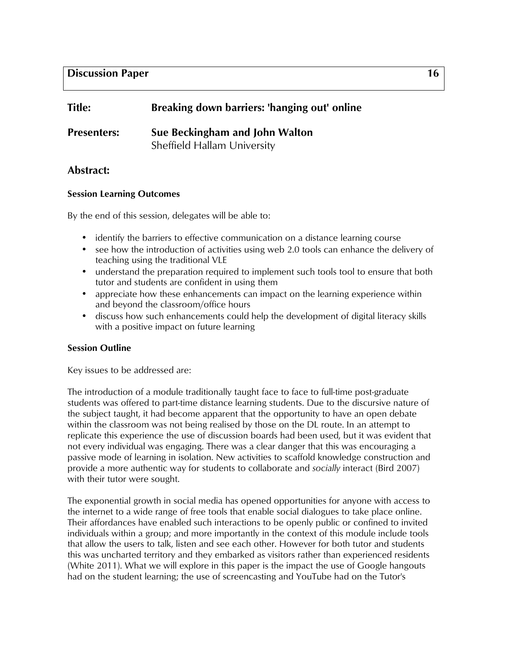| <b>Title:</b>      | Breaking down barriers: 'hanging out' online |
|--------------------|----------------------------------------------|
| <b>Presenters:</b> | Sue Beckingham and John Walton               |
|                    | Sheffield Hallam University                  |

# **Abstract:**

### **Session Learning Outcomes**

By the end of this session, delegates will be able to:

- identify the barriers to effective communication on a distance learning course
- see how the introduction of activities using web 2.0 tools can enhance the delivery of teaching using the traditional VLE
- understand the preparation required to implement such tools tool to ensure that both tutor and students are confident in using them
- appreciate how these enhancements can impact on the learning experience within and beyond the classroom/office hours
- discuss how such enhancements could help the development of digital literacy skills with a positive impact on future learning

## **Session Outline**

Key issues to be addressed are:

The introduction of a module traditionally taught face to face to full-time post-graduate students was offered to part-time distance learning students. Due to the discursive nature of the subject taught, it had become apparent that the opportunity to have an open debate within the classroom was not being realised by those on the DL route. In an attempt to replicate this experience the use of discussion boards had been used, but it was evident that not every individual was engaging. There was a clear danger that this was encouraging a passive mode of learning in isolation. New activities to scaffold knowledge construction and provide a more authentic way for students to collaborate and *socially* interact (Bird 2007) with their tutor were sought.

The exponential growth in social media has opened opportunities for anyone with access to the internet to a wide range of free tools that enable social dialogues to take place online. Their affordances have enabled such interactions to be openly public or confined to invited individuals within a group; and more importantly in the context of this module include tools that allow the users to talk, listen and see each other. However for both tutor and students this was uncharted territory and they embarked as visitors rather than experienced residents (White 2011). What we will explore in this paper is the impact the use of Google hangouts had on the student learning; the use of screencasting and YouTube had on the Tutor's